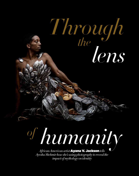

## *humanity of*

*African-American artist* Ayana V. Jackson *tells Ayesha Shehmir how she's using photography to reveal the impact of mythology on identity*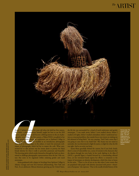



**a**<br>**Ayana** V. Jackson was just five years in the Her father, a photo enthusiast camera, sparking what would be tographic storytelling. Her first to be her grandfrobler during her altanta, Georgia, where she endass. With n Ayana V. Jackson was just five years old when she held her first camera. Her father, a photo enthusiast himself, taught her how to use his SLR camera, sparking what would become a lifelong interest in the art of photographic storytelling. Her first camera, a Nikon FM10, was gifted to her by her grandmother during her sophomore year at Spelman College in Atlanta, Georgia, where she enrolled in an introductory photography class. With no formal degree in the subject, it wasn't the systematic techniques of photography which led her to master the craft. What summoned her to take pictures was her innate desire to portray the black female identity for what it really is: powerful, passionate and beautiful. The hovering spirits which render themselves through her body are determined to challenge photographic representations from the late 19th century that seem to be ingrained within enduring gender and racial stereotypes.

 Ayana graduated with a degree in Sociology from Spelman College in Atlanta, Georgia and now lives between Johannesburg, New York and Paris. As an adolescent African-American growing up the United States, she felt she was surrounded by a cloud of racial undertones and gender stereotypes. "I was made aware, before I even studied slavery, before I studied civil rights, before I studied colonialism, before I understood racism as a structural problem, that outside forces were intent on making me feel ashamed of being black," she says, pausing. "And I had a sense that I was going to carry that to my death bed." But Ayana was not raised to surrender, she was determined to fight for justice, to fight for what she felt was right. And so an artist was born.

 Ayana floats gracefully behind the camera, but if you look closely, there's a sense of vulnerability too, a sense of restraint in the characters that she depicts through her own body. In her work *Sighting in the Abyss II*  (2019), a graceful figure is hauled forward by a commanding ethereal force, yet her restrained hands supress her efforts—a testament to the impact of stereotypes on identity development, which hits close to home for the artist. "There is a lot of text on my skin when I enter rooms that are populated with people with identity associated with power—American or European," she expresses. "Due to the racially divided history of the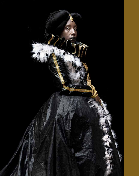